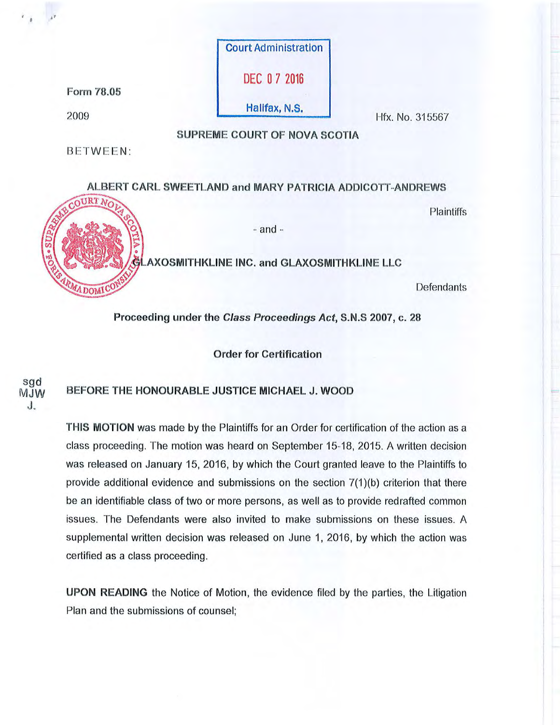

Proceeding under the Class Proceedings Act, S.N.S 2007, c. 28

Order for Certification

# sgd<br>MJW BEFORE THE HONOURABLE JUSTICE MICHAEL J. WOOD

J.

THIS MOTION was made by the Plaintiffs for an Order for certification of the action as a class proceeding. The motion was heard on September 15-18, 2015. A written decision was released on January 15, 2016, by which the Court granted leave to the Plaintiffs to provide additional evidence and submissions on the section 7(1 )(b) criterion that there be an identifiable class of two or more persons, as well as to provide redrafted common issues. The Defendants were also invited to make submissions on these issues. A supplemental written decision was released on June 1, 2016, by which the action was certified as a class proceeding.

UPON READING the Notice of Motion, the evidence filed by the parties, the Litigation Plan and the submissions of counsel;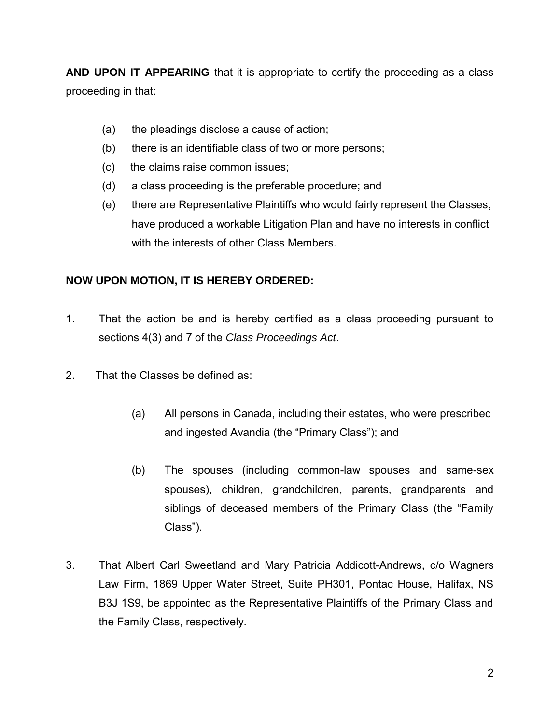**AND UPON IT APPEARING** that it is appropriate to certify the proceeding as a class proceeding in that:

- (a) the pleadings disclose a cause of action;
- (b) there is an identifiable class of two or more persons;
- (c) the claims raise common issues;
- (d) a class proceeding is the preferable procedure; and
- (e) there are Representative Plaintiffs who would fairly represent the Classes, have produced a workable Litigation Plan and have no interests in conflict with the interests of other Class Members.

# **NOW UPON MOTION, IT IS HEREBY ORDERED:**

- 1. That the action be and is hereby certified as a class proceeding pursuant to sections 4(3) and 7 of the *Class Proceedings Act*.
- 2. That the Classes be defined as:
	- (a) All persons in Canada, including their estates, who were prescribed and ingested Avandia (the "Primary Class"); and
	- (b) The spouses (including common-law spouses and same-sex spouses), children, grandchildren, parents, grandparents and siblings of deceased members of the Primary Class (the "Family Class").
- 3. That Albert Carl Sweetland and Mary Patricia Addicott-Andrews, c/o Wagners Law Firm, 1869 Upper Water Street, Suite PH301, Pontac House, Halifax, NS B3J 1S9, be appointed as the Representative Plaintiffs of the Primary Class and the Family Class, respectively.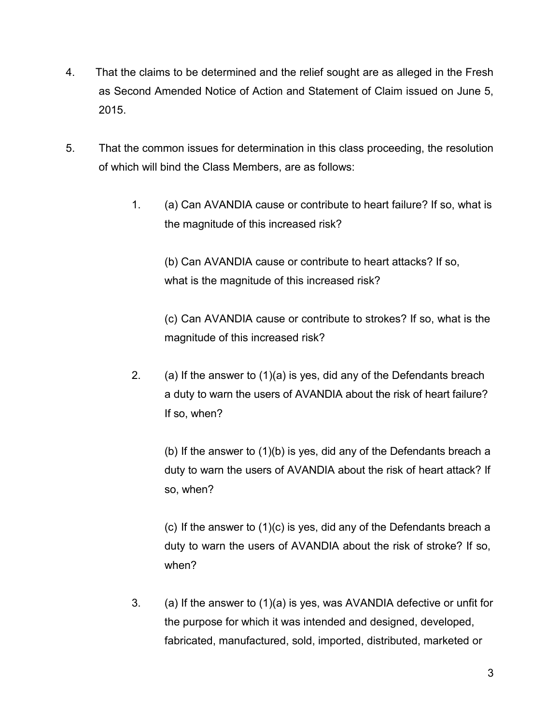- 4. That the claims to be determined and the relief sought are as alleged in the Fresh as Second Amended Notice of Action and Statement of Claim issued on June 5, 2015.
- 5. That the common issues for determination in this class proceeding, the resolution of which will bind the Class Members, are as follows:
	- 1. (a) Can AVANDIA cause or contribute to heart failure? If so, what is the magnitude of this increased risk?

(b) Can AVANDIA cause or contribute to heart attacks? If so, what is the magnitude of this increased risk?

(c) Can AVANDIA cause or contribute to strokes? If so, what is the magnitude of this increased risk?

2. (a) If the answer to  $(1)(a)$  is yes, did any of the Defendants breach a duty to warn the users of AVANDIA about the risk of heart failure? If so, when?

(b) If the answer to (1)(b) is yes, did any of the Defendants breach a duty to warn the users of AVANDIA about the risk of heart attack? If so, when?

(c) If the answer to (1)(c) is yes, did any of the Defendants breach a duty to warn the users of AVANDIA about the risk of stroke? If so, when?

3. (a) If the answer to (1)(a) is yes, was AVANDIA defective or unfit for the purpose for which it was intended and designed, developed, fabricated, manufactured, sold, imported, distributed, marketed or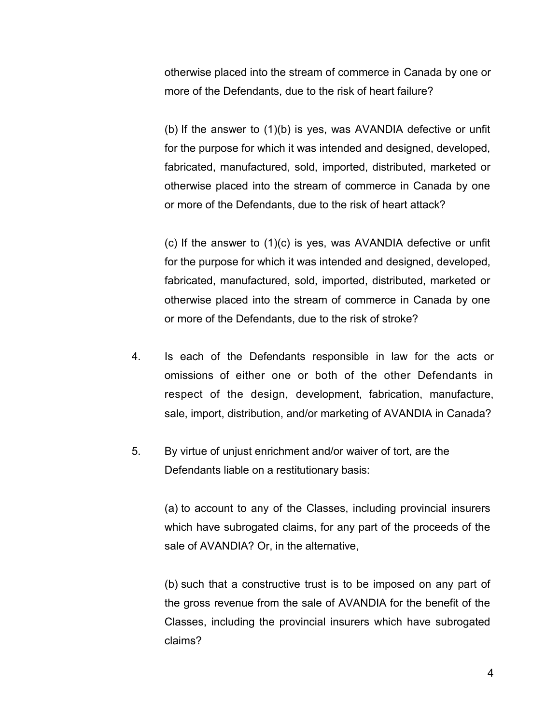otherwise placed into the stream of commerce in Canada by one or more of the Defendants, due to the risk of heart failure?

(b) If the answer to (1)(b) is yes, was AVANDIA defective or unfit for the purpose for which it was intended and designed, developed, fabricated, manufactured, sold, imported, distributed, marketed or otherwise placed into the stream of commerce in Canada by one or more of the Defendants, due to the risk of heart attack?

(c) If the answer to (1)(c) is yes, was AVANDIA defective or unfit for the purpose for which it was intended and designed, developed, fabricated, manufactured, sold, imported, distributed, marketed or otherwise placed into the stream of commerce in Canada by one or more of the Defendants, due to the risk of stroke?

- 4. Is each of the Defendants responsible in law for the acts or omissions of either one or both of the other Defendants in respect of the design, development, fabrication, manufacture, sale, import, distribution, and/or marketing of AVANDIA in Canada?
- 5. By virtue of unjust enrichment and/or waiver of tort, are the Defendants liable on a restitutionary basis:

(a) to account to any of the Classes, including provincial insurers which have subrogated claims, for any part of the proceeds of the sale of AVANDIA? Or, in the alternative,

(b) such that a constructive trust is to be imposed on any part of the gross revenue from the sale of AVANDIA for the benefit of the Classes, including the provincial insurers which have subrogated claims?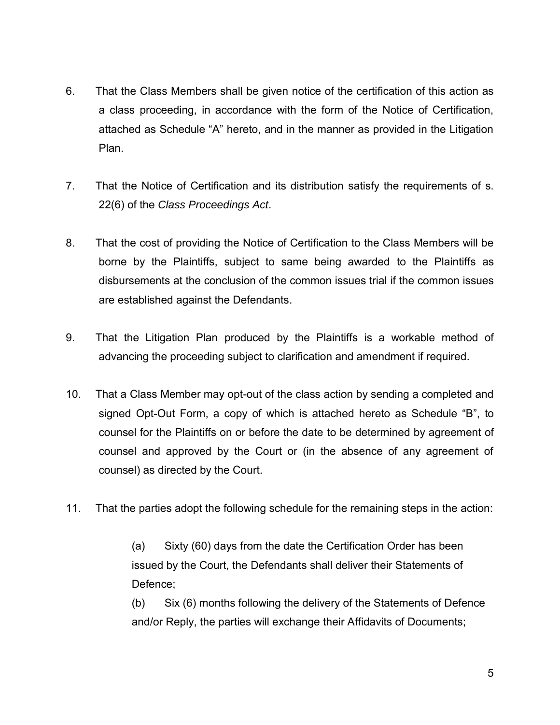- 6. That the Class Members shall be given notice of the certification of this action as a class proceeding, in accordance with the form of the Notice of Certification, attached as Schedule "A" hereto, and in the manner as provided in the Litigation Plan.
- 7. That the Notice of Certification and its distribution satisfy the requirements of s. 22(6) of the *Class Proceedings Act*.
- 8. That the cost of providing the Notice of Certification to the Class Members will be borne by the Plaintiffs, subject to same being awarded to the Plaintiffs as disbursements at the conclusion of the common issues trial if the common issues are established against the Defendants.
- 9. That the Litigation Plan produced by the Plaintiffs is a workable method of advancing the proceeding subject to clarification and amendment if required.
- 10. That a Class Member may opt-out of the class action by sending a completed and signed Opt-Out Form, a copy of which is attached hereto as Schedule "B", to counsel for the Plaintiffs on or before the date to be determined by agreement of counsel and approved by the Court or (in the absence of any agreement of counsel) as directed by the Court.
- 11. That the parties adopt the following schedule for the remaining steps in the action:

(a) Sixty (60) days from the date the Certification Order has been issued by the Court, the Defendants shall deliver their Statements of Defence;

(b) Six (6) months following the delivery of the Statements of Defence and/or Reply, the parties will exchange their Affidavits of Documents;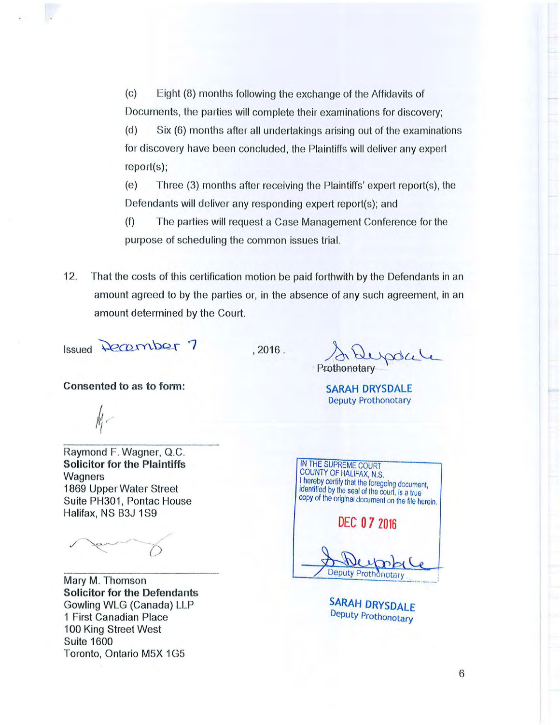(c) Eight (8) months following the exchange of the Affidavits of Documents, the parties will complete their examinations for discovery;

(d) Six (6) months after all undertakings arising out of the examinations for discovery have been concluded, the Plaintiffs will deliver any expert report(s);

(e) Three (3) months after receiving the Plaintiffs' expert report(s), the Defendants will deliver any responding expert report(s); and

(f) The parties will request a Case Management Conference for the purpose of scheduling the common issues trial.

12. That the costs of this certification motion be paid forthwith by the Defendants in an amount agreed to by the parties or, in the absence of any such agreement, in an amount determined by the Court.

Issued December 7

 $.2016.$ 

**Consented to as to form:** 

Raymond F. Wagner, Q.C. **Solicitor for the Plaintiffs Wagners** 1869 Upper Water Street Suite PH301, Pontac House Halifax, NS B3J 1S9

Mary M. Thomson **Solicitor for the Defendants**  Gowling WLG (Canada) LLP 1 First Canadian Place 100 King Street West Suite 1600 Toronto, Ontario M5X 1G5

Prothonotary blepoke!

**SARAH DRYSDALE**  Deputy Prothonotary

COUNTY OF HALIFAX, N.S. I hereby certify that the foregoing document, identified by the seal of the court, is a true copy of the original document on the file herein. **DEC 0 7 2016 Deputy Proth** notar

IN THE SUPREME COURT

**SARAH DRYSDALE**  Deputy Prothonotary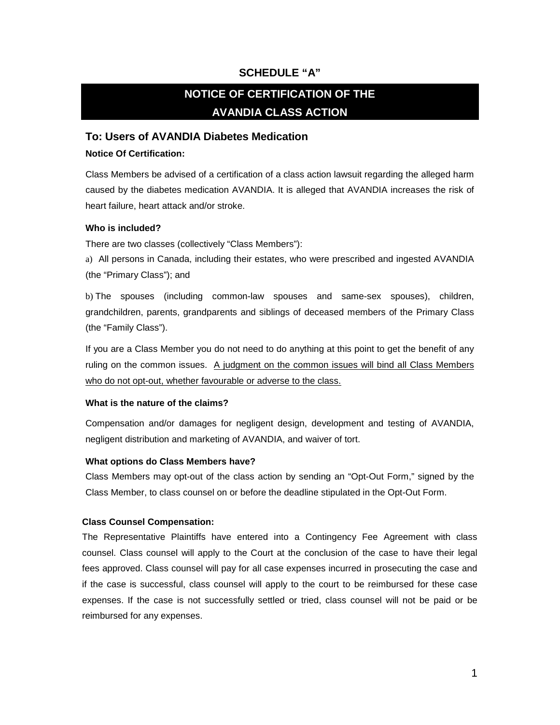# **SCHEDULE "A"**

# **NOTICE OF CERTIFICATION OF THE AVANDIA CLASS ACTION**

# **To: Users of AVANDIA Diabetes Medication**

#### **Notice Of Certification:**

Class Members be advised of a certification of a class action lawsuit regarding the alleged harm caused by the diabetes medication AVANDIA. It is alleged that AVANDIA increases the risk of heart failure, heart attack and/or stroke.

#### **Who is included?**

There are two classes (collectively "Class Members"):

a) All persons in Canada, including their estates, who were prescribed and ingested AVANDIA (the "Primary Class"); and

b) The spouses (including common-law spouses and same-sex spouses), children, grandchildren, parents, grandparents and siblings of deceased members of the Primary Class (the "Family Class").

If you are a Class Member you do not need to do anything at this point to get the benefit of any ruling on the common issues. A judgment on the common issues will bind all Class Members who do not opt-out, whether favourable or adverse to the class.

## **What is the nature of the claims?**

Compensation and/or damages for negligent design, development and testing of AVANDIA, negligent distribution and marketing of AVANDIA, and waiver of tort.

## **What options do Class Members have?**

Class Members may opt-out of the class action by sending an "Opt-Out Form," signed by the Class Member, to class counsel on or before the deadline stipulated in the Opt-Out Form.

## **Class Counsel Compensation:**

The Representative Plaintiffs have entered into a Contingency Fee Agreement with class counsel. Class counsel will apply to the Court at the conclusion of the case to have their legal fees approved. Class counsel will pay for all case expenses incurred in prosecuting the case and if the case is successful, class counsel will apply to the court to be reimbursed for these case expenses. If the case is not successfully settled or tried, class counsel will not be paid or be reimbursed for any expenses.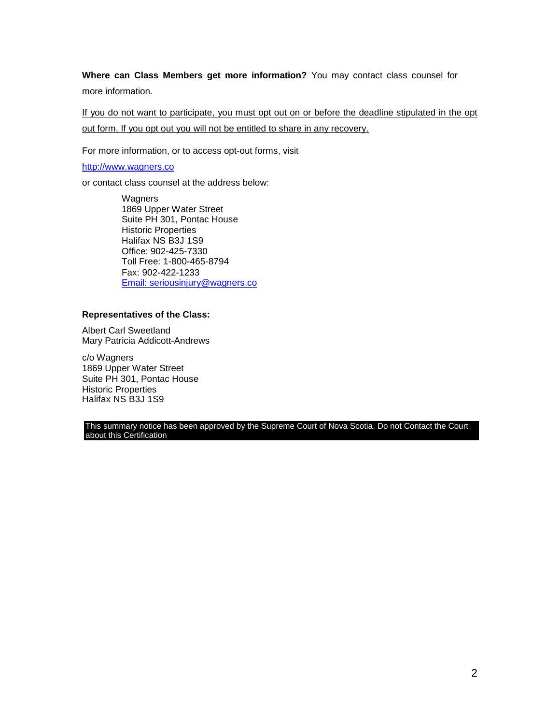**Where can Class Members get more information?** You may contact class counsel for more information.

If you do not want to participate, you must opt out on or before the deadline stipulated in the opt out form. If you opt out you will not be entitled to share in any recovery.

For more information, or to access opt-out forms, visit

[http://www.wagners.co](http://www.wagners.co/) 

or contact class counsel at the address below:

**Wagners** 1869 Upper Water Street Suite PH 301, Pontac House Historic Properties Halifax NS B3J 1S9 Office: 902-425-7330 Toll Free: 1-800-465-8794 Fax: 902-422-1233 [Email: seriousinjury@wagners.co](mailto:seriousinjury@wagners.co) 

#### **Representatives of the Class:**

Albert Carl Sweetland Mary Patricia Addicott-Andrews

c/o Wagners 1869 Upper Water Street Suite PH 301, Pontac House Historic Properties Halifax NS B3J 1S9

This summary notice has been approved by the Supreme Court of Nova Scotia. Do not Contact the Court about this Certification